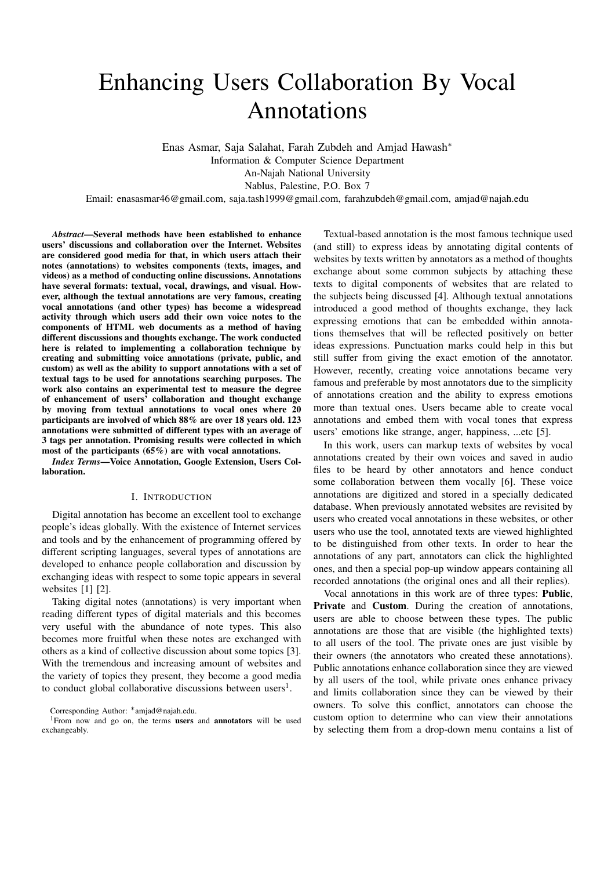# Enhancing Users Collaboration By Vocal Annotations

Enas Asmar, Saja Salahat, Farah Zubdeh and Amjad Hawash<sup>∗</sup> Information & Computer Science Department An-Najah National University Nablus, Palestine, P.O. Box 7

Email: enasasmar46@gmail.com, saja.tash1999@gmail.com, farahzubdeh@gmail.com, amjad@najah.edu

*Abstract*—Several methods have been established to enhance users' discussions and collaboration over the Internet. Websites are considered good media for that, in which users attach their notes (annotations) to websites components (texts, images, and videos) as a method of conducting online discussions. Annotations have several formats: textual, vocal, drawings, and visual. However, although the textual annotations are very famous, creating vocal annotations (and other types) has become a widespread activity through which users add their own voice notes to the components of HTML web documents as a method of having different discussions and thoughts exchange. The work conducted here is related to implementing a collaboration technique by creating and submitting voice annotations (private, public, and custom) as well as the ability to support annotations with a set of textual tags to be used for annotations searching purposes. The work also contains an experimental test to measure the degree of enhancement of users' collaboration and thought exchange by moving from textual annotations to vocal ones where 20 participants are involved of which 88% are over 18 years old. 123 annotations were submitted of different types with an average of 3 tags per annotation. Promising results were collected in which most of the participants (65%) are with vocal annotations.

*Index Terms*—Voice Annotation, Google Extension, Users Collaboration.

## I. INTRODUCTION

Digital annotation has become an excellent tool to exchange people's ideas globally. With the existence of Internet services and tools and by the enhancement of programming offered by different scripting languages, several types of annotations are developed to enhance people collaboration and discussion by exchanging ideas with respect to some topic appears in several websites [1] [2].

Taking digital notes (annotations) is very important when reading different types of digital materials and this becomes very useful with the abundance of note types. This also becomes more fruitful when these notes are exchanged with others as a kind of collective discussion about some topics [3]. With the tremendous and increasing amount of websites and the variety of topics they present, they become a good media to conduct global collaborative discussions between users<sup>1</sup>.

Textual-based annotation is the most famous technique used (and still) to express ideas by annotating digital contents of websites by texts written by annotators as a method of thoughts exchange about some common subjects by attaching these texts to digital components of websites that are related to the subjects being discussed [4]. Although textual annotations introduced a good method of thoughts exchange, they lack expressing emotions that can be embedded within annotations themselves that will be reflected positively on better ideas expressions. Punctuation marks could help in this but still suffer from giving the exact emotion of the annotator. However, recently, creating voice annotations became very famous and preferable by most annotators due to the simplicity of annotations creation and the ability to express emotions more than textual ones. Users became able to create vocal annotations and embed them with vocal tones that express users' emotions like strange, anger, happiness, ...etc [5].

In this work, users can markup texts of websites by vocal annotations created by their own voices and saved in audio files to be heard by other annotators and hence conduct some collaboration between them vocally [6]. These voice annotations are digitized and stored in a specially dedicated database. When previously annotated websites are revisited by users who created vocal annotations in these websites, or other users who use the tool, annotated texts are viewed highlighted to be distinguished from other texts. In order to hear the annotations of any part, annotators can click the highlighted ones, and then a special pop-up window appears containing all recorded annotations (the original ones and all their replies).

Vocal annotations in this work are of three types: Public, Private and Custom. During the creation of annotations, users are able to choose between these types. The public annotations are those that are visible (the highlighted texts) to all users of the tool. The private ones are just visible by their owners (the annotators who created these annotations). Public annotations enhance collaboration since they are viewed by all users of the tool, while private ones enhance privacy and limits collaboration since they can be viewed by their owners. To solve this conflict, annotators can choose the custom option to determine who can view their annotations by selecting them from a drop-down menu contains a list of

Corresponding Author: ∗amjad@najah.edu.

<sup>&</sup>lt;sup>1</sup>From now and go on, the terms users and annotators will be used exchangeably.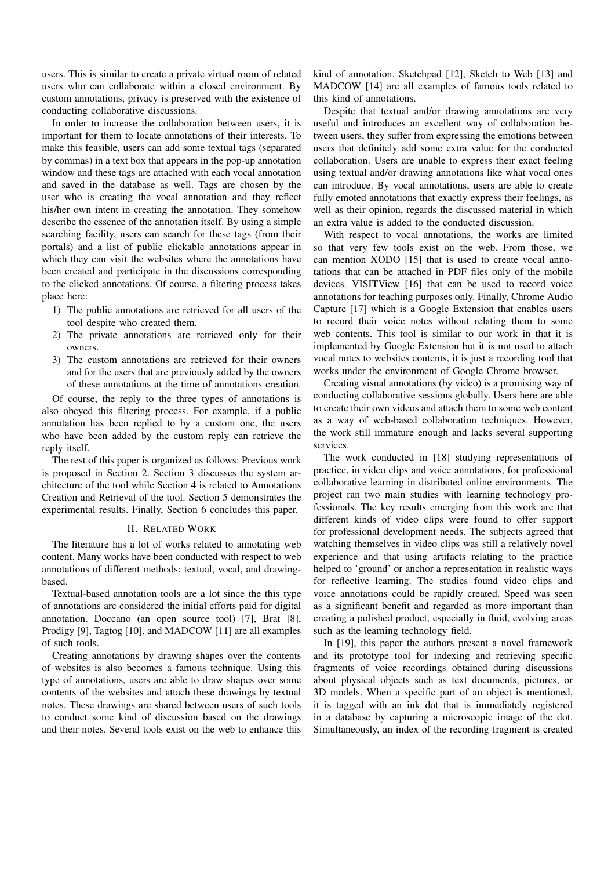users. This is similar to create a private virtual room of related users who can collaborate within a closed environment. By custom annotations, privacy is preserved with the existence of conducting collaborative discussions.

In order to increase the collaboration between users, it is important for them to locate annotations of their interests. To make this feasible, users can add some textual tags (separated by commas) in a text box that appears in the pop-up annotation window and these tags are attached with each vocal annotation and saved in the database as well. Tags are chosen by the user who is creating the vocal annotation and they reflect his/her own intent in creating the annotation. They somehow describe the essence of the annotation itself. By using a simple searching facility, users can search for these tags (from their portals) and a list of public clickable annotations appear in which they can visit the websites where the annotations have been created and participate in the discussions corresponding to the clicked annotations. Of course, a filtering process takes place here:

- 1) The public annotations are retrieved for all users of the tool despite who created them.
- 2) The private annotations are retrieved only for their owners.
- 3) The custom annotations are retrieved for their owners and for the users that are previously added by the owners of these annotations at the time of annotations creation.

Of course, the reply to the three types of annotations is also obeyed this filtering process. For example, if a public annotation has been replied to by a custom one, the users who have been added by the custom reply can retrieve the reply itself.

The rest of this paper is organized as follows: Previous work is proposed in Section 2. Section 3 discusses the system architecture of the tool while Section 4 is related to Annotations Creation and Retrieval of the tool. Section 5 demonstrates the experimental results. Finally, Section 6 concludes this paper.

# II. RELATED WORK

The literature has a lot of works related to annotating web content. Many works have been conducted with respect to web annotations of different methods: textual, vocal, and drawingbased.

Textual-based annotation tools are a lot since the this type of annotations are considered the initial efforts paid for digital annotation. Doccano (an open source tool) [7], Brat [8], Prodigy [9], Tagtog [10], and MADCOW [11] are all examples of such tools.

Creating annotations by drawing shapes over the contents of websites is also becomes a famous technique. Using this type of annotations, users are able to draw shapes over some contents of the websites and attach these drawings by textual notes. These drawings are shared between users of such tools to conduct some kind of discussion based on the drawings and their notes. Several tools exist on the web to enhance this

kind of annotation. Sketchpad [12], Sketch to Web [13] and MADCOW [14] are all examples of famous tools related to this kind of annotations.

Despite that textual and/or drawing annotations are very useful and introduces an excellent way of collaboration between users, they suffer from expressing the emotions between users that definitely add some extra value for the conducted collaboration. Users are unable to express their exact feeling using textual and/or drawing annotations like what vocal ones can introduce. By vocal annotations, users are able to create fully emoted annotations that exactly express their feelings, as well as their opinion, regards the discussed material in which an extra value is added to the conducted discussion.

With respect to vocal annotations, the works are limited so that very few tools exist on the web. From those, we can mention XODO [15] that is used to create vocal annotations that can be attached in PDF files only of the mobile devices. VISITView [16] that can be used to record voice annotations for teaching purposes only. Finally, Chrome Audio Capture [17] which is a Google Extension that enables users to record their voice notes without relating them to some web contents. This tool is similar to our work in that it is implemented by Google Extension but it is not used to attach vocal notes to websites contents, it is just a recording tool that works under the environment of Google Chrome browser.

Creating visual annotations (by video) is a promising way of conducting collaborative sessions globally. Users here are able to create their own videos and attach them to some web content as a way of web-based collaboration techniques. However, the work still immature enough and lacks several supporting services.

The work conducted in [18] studying representations of practice, in video clips and voice annotations, for professional collaborative learning in distributed online environments. The project ran two main studies with learning technology professionals. The key results emerging from this work are that different kinds of video clips were found to offer support for professional development needs. The subjects agreed that watching themselves in video clips was still a relatively novel experience and that using artifacts relating to the practice helped to 'ground' or anchor a representation in realistic ways for reflective learning. The studies found video clips and voice annotations could be rapidly created. Speed was seen as a significant benefit and regarded as more important than creating a polished product, especially in fluid, evolving areas such as the learning technology field.

In [19], this paper the authors present a novel framework and its prototype tool for indexing and retrieving specific fragments of voice recordings obtained during discussions about physical objects such as text documents, pictures, or 3D models. When a specific part of an object is mentioned, it is tagged with an ink dot that is immediately registered in a database by capturing a microscopic image of the dot. Simultaneously, an index of the recording fragment is created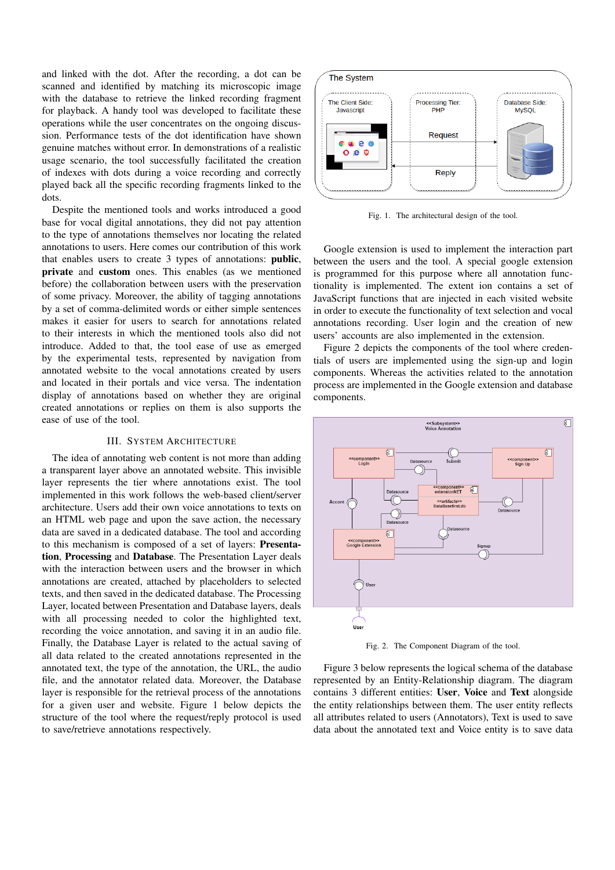and linked with the dot. After the recording, a dot can be scanned and identified by matching its microscopic image with the database to retrieve the linked recording fragment for playback. A handy tool was developed to facilitate these operations while the user concentrates on the ongoing discussion. Performance tests of the dot identification have shown genuine matches without error. In demonstrations of a realistic usage scenario, the tool successfully facilitated the creation of indexes with dots during a voice recording and correctly played back all the specific recording fragments linked to the dots.

Despite the mentioned tools and works introduced a good base for vocal digital annotations, they did not pay attention to the type of annotations themselves nor locating the related annotations to users. Here comes our contribution of this work that enables users to create 3 types of annotations: public, private and custom ones. This enables (as we mentioned before) the collaboration between users with the preservation of some privacy. Moreover, the ability of tagging annotations by a set of comma-delimited words or either simple sentences makes it easier for users to search for annotations related to their interests in which the mentioned tools also did not introduce. Added to that, the tool ease of use as emerged by the experimental tests, represented by navigation from annotated website to the vocal annotations created by users and located in their portals and vice versa. The indentation display of annotations based on whether they are original created annotations or replies on them is also supports the ease of use of the tool.

## III. SYSTEM ARCHITECTURE

The idea of annotating web content is not more than adding a transparent layer above an annotated website. This invisible layer represents the tier where annotations exist. The tool implemented in this work follows the web-based client/server architecture. Users add their own voice annotations to texts on an HTML web page and upon the save action, the necessary data are saved in a dedicated database. The tool and according to this mechanism is composed of a set of layers: Presentation, Processing and Database. The Presentation Layer deals with the interaction between users and the browser in which annotations are created, attached by placeholders to selected texts, and then saved in the dedicated database. The Processing Layer, located between Presentation and Database layers, deals with all processing needed to color the highlighted text, recording the voice annotation, and saving it in an audio file. Finally, the Database Layer is related to the actual saving of all data related to the created annotations represented in the annotated text, the type of the annotation, the URL, the audio file, and the annotator related data. Moreover, the Database layer is responsible for the retrieval process of the annotations for a given user and website. Figure 1 below depicts the structure of the tool where the request/reply protocol is used to save/retrieve annotations respectively.



Fig. 1. The architectural design of the tool.

Google extension is used to implement the interaction part between the users and the tool. A special google extension is programmed for this purpose where all annotation functionality is implemented. The extent ion contains a set of JavaScript functions that are injected in each visited website in order to execute the functionality of text selection and vocal annotations recording. User login and the creation of new users' accounts are also implemented in the extension.

Figure 2 depicts the components of the tool where credentials of users are implemented using the sign-up and login components. Whereas the activities related to the annotation process are implemented in the Google extension and database components.



Fig. 2. The Component Diagram of the tool.

Figure 3 below represents the logical schema of the database represented by an Entity-Relationship diagram. The diagram contains 3 different entities: User, Voice and Text alongside the entity relationships between them. The user entity reflects all attributes related to users (Annotators), Text is used to save data about the annotated text and Voice entity is to save data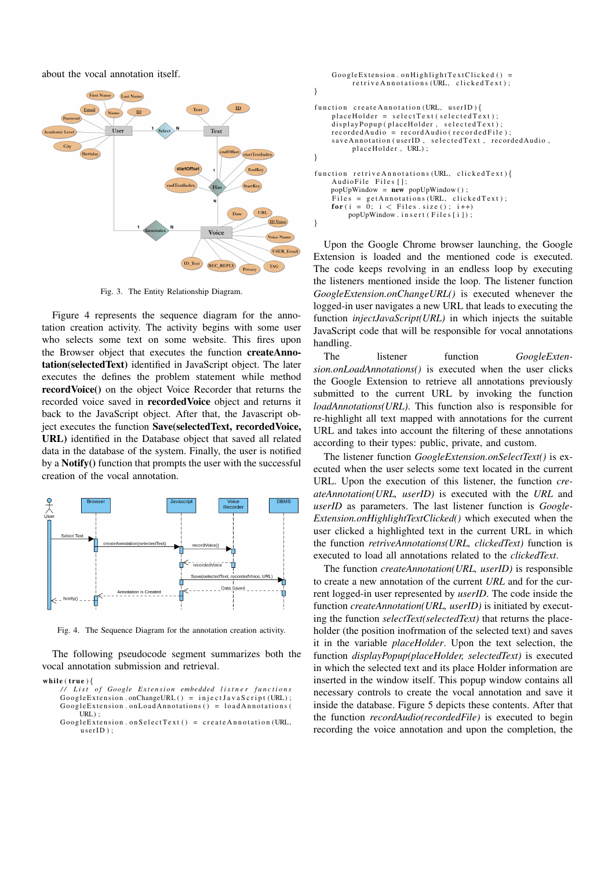about the vocal annotation itself.



Fig. 3. The Entity Relationship Diagram.

Figure 4 represents the sequence diagram for the annotation creation activity. The activity begins with some user who selects some text on some website. This fires upon the Browser object that executes the function createAnnotation(selectedText) identified in JavaScript object. The later executes the defines the problem statement while method recordVoice() on the object Voice Recorder that returns the recorded voice saved in recordedVoice object and returns it back to the JavaScript object. After that, the Javascript object executes the function Save(selectedText, recordedVoice, URL) identified in the Database object that saved all related data in the database of the system. Finally, the user is notified by a Notify() function that prompts the user with the successful creation of the vocal annotation.



Fig. 4. The Sequence Diagram for the annotation creation activity.

The following pseudocode segment summarizes both the vocal annotation submission and retrieval.

```
while (\mathbf{true}) {
```
*/ / L i s t o f Google E x t e n s i o n embedded l i s t n e r f u n c t i o n s*  $Google Extension. on ChangeURL() = injectJava Script (URL)$ ;  $Google Extension. on LoadAnnotations() = loadAnnotations()$ URL) ;

GoogleExtension.onSelectText() = createAnnotation(URL,  $userID$  );

```
Google Extension. on High light Text Clicked() =r e trive Annotations (URL, clicked Text);
}
function create Annotation (URL, userID)\{placeHolder = selectText(self, selectedText);\overline{display playPopup (placeHolder, selectedText);
     recorded A u dio = record A u dio (recorded File);s ave Annotation (userID, selected Text, recorded Audio,
          place Holder, URL);
}
function retrive Annotations (URL, clicked Text) {
     Audio File Files [];
    popUpWindow = new popUpWindow();
     Files = get Annotations (URL, clicked Text);<br>
for(i = 0; i < Files . size (); i++)
         popUpWindow \dots in sert (Files [i]);
}
```
Upon the Google Chrome browser launching, the Google Extension is loaded and the mentioned code is executed. The code keeps revolving in an endless loop by executing the listeners mentioned inside the loop. The listener function *GoogleExtension.onChangeURL()* is executed whenever the logged-in user navigates a new URL that leads to executing the function *injectJavaScript(URL)* in which injects the suitable JavaScript code that will be responsible for vocal annotations handling.

The listener function *GoogleExtension.onLoadAnnotations()* is executed when the user clicks the Google Extension to retrieve all annotations previously submitted to the current URL by invoking the function *loadAnnotations(URL)*. This function also is responsible for re-highlight all text mapped with annotations for the current URL and takes into account the filtering of these annotations according to their types: public, private, and custom.

The listener function *GoogleExtension.onSelectText()* is executed when the user selects some text located in the current URL. Upon the execution of this listener, the function *createAnnotation(URL, userID)* is executed with the *URL* and *userID* as parameters. The last listener function is *Google-Extension.onHighlightTextClicked()* which executed when the user clicked a highlighted text in the current URL in which the function *retriveAnnotations(URL, clickedText)* function is executed to load all annotations related to the *clickedText*.

The function *createAnnotation(URL, userID)* is responsible to create a new annotation of the current *URL* and for the current logged-in user represented by *userID*. The code inside the function *createAnnotation(URL, userID)* is initiated by executing the function *selectText(selectedText)* that returns the placeholder (the position inofrmation of the selected text) and saves it in the variable *placeHolder*. Upon the text selection, the function *displayPopup(placeHolder, selectedText)* is executed in which the selected text and its place Holder information are inserted in the window itself. This popup window contains all necessary controls to create the vocal annotation and save it inside the database. Figure 5 depicts these contents. After that the function *recordAudio(recordedFile)* is executed to begin recording the voice annotation and upon the completion, the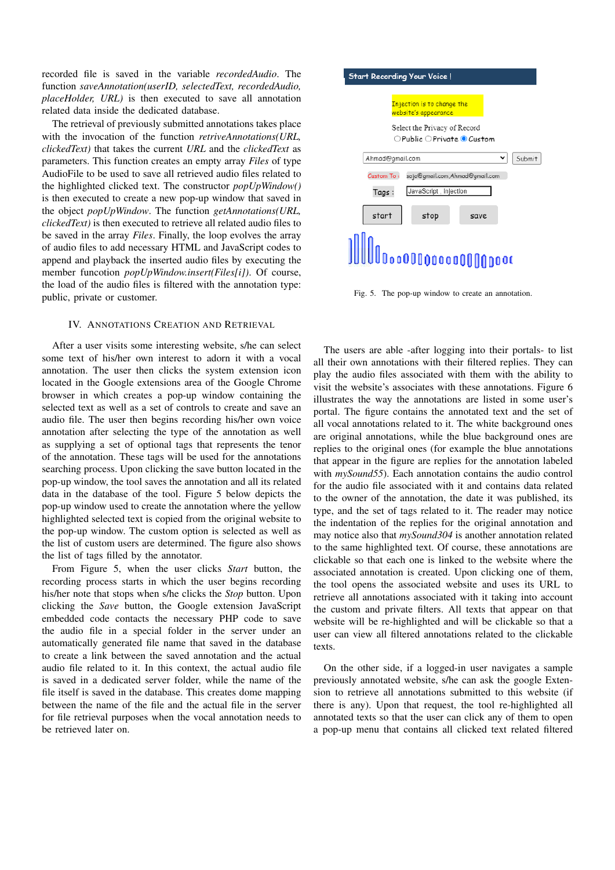recorded file is saved in the variable *recordedAudio*. The function *saveAnnotation(userID, selectedText, recordedAudio, placeHolder, URL)* is then executed to save all annotation related data inside the dedicated database.

The retrieval of previously submitted annotations takes place with the invocation of the function *retriveAnnotations(URL, clickedText)* that takes the current *URL* and the *clickedText* as parameters. This function creates an empty array *Files* of type AudioFile to be used to save all retrieved audio files related to the highlighted clicked text. The constructor *popUpWindow()* is then executed to create a new pop-up window that saved in the object *popUpWindow*. The function *getAnnotations(URL, clickedText)* is then executed to retrieve all related audio files to be saved in the array *Files*. Finally, the loop evolves the array of audio files to add necessary HTML and JavaScript codes to append and playback the inserted audio files by executing the member funcotion *popUpWindow.insert(Files[i])*. Of course, the load of the audio files is filtered with the annotation type: public, private or customer.

# IV. ANNOTATIONS CREATION AND RETRIEVAL

After a user visits some interesting website, s/he can select some text of his/her own interest to adorn it with a vocal annotation. The user then clicks the system extension icon located in the Google extensions area of the Google Chrome browser in which creates a pop-up window containing the selected text as well as a set of controls to create and save an audio file. The user then begins recording his/her own voice annotation after selecting the type of the annotation as well as supplying a set of optional tags that represents the tenor of the annotation. These tags will be used for the annotations searching process. Upon clicking the save button located in the pop-up window, the tool saves the annotation and all its related data in the database of the tool. Figure 5 below depicts the pop-up window used to create the annotation where the yellow highlighted selected text is copied from the original website to the pop-up window. The custom option is selected as well as the list of custom users are determined. The figure also shows the list of tags filled by the annotator.

From Figure 5, when the user clicks *Start* button, the recording process starts in which the user begins recording his/her note that stops when s/he clicks the *Stop* button. Upon clicking the *Save* button, the Google extension JavaScript embedded code contacts the necessary PHP code to save the audio file in a special folder in the server under an automatically generated file name that saved in the database to create a link between the saved annotation and the actual audio file related to it. In this context, the actual audio file is saved in a dedicated server folder, while the name of the file itself is saved in the database. This creates dome mapping between the name of the file and the actual file in the server for file retrieval purposes when the vocal annotation needs to be retrieved later on.



Fig. 5. The pop-up window to create an annotation.

The users are able -after logging into their portals- to list all their own annotations with their filtered replies. They can play the audio files associated with them with the ability to visit the website's associates with these annotations. Figure 6 illustrates the way the annotations are listed in some user's portal. The figure contains the annotated text and the set of all vocal annotations related to it. The white background ones are original annotations, while the blue background ones are replies to the original ones (for example the blue annotations that appear in the figure are replies for the annotation labeled with *mySound55*). Each annotation contains the audio control for the audio file associated with it and contains data related to the owner of the annotation, the date it was published, its type, and the set of tags related to it. The reader may notice the indentation of the replies for the original annotation and may notice also that *mySound304* is another annotation related to the same highlighted text. Of course, these annotations are clickable so that each one is linked to the website where the associated annotation is created. Upon clicking one of them, the tool opens the associated website and uses its URL to retrieve all annotations associated with it taking into account the custom and private filters. All texts that appear on that website will be re-highlighted and will be clickable so that a user can view all filtered annotations related to the clickable texts.

On the other side, if a logged-in user navigates a sample previously annotated website, s/he can ask the google Extension to retrieve all annotations submitted to this website (if there is any). Upon that request, the tool re-highlighted all annotated texts so that the user can click any of them to open a pop-up menu that contains all clicked text related filtered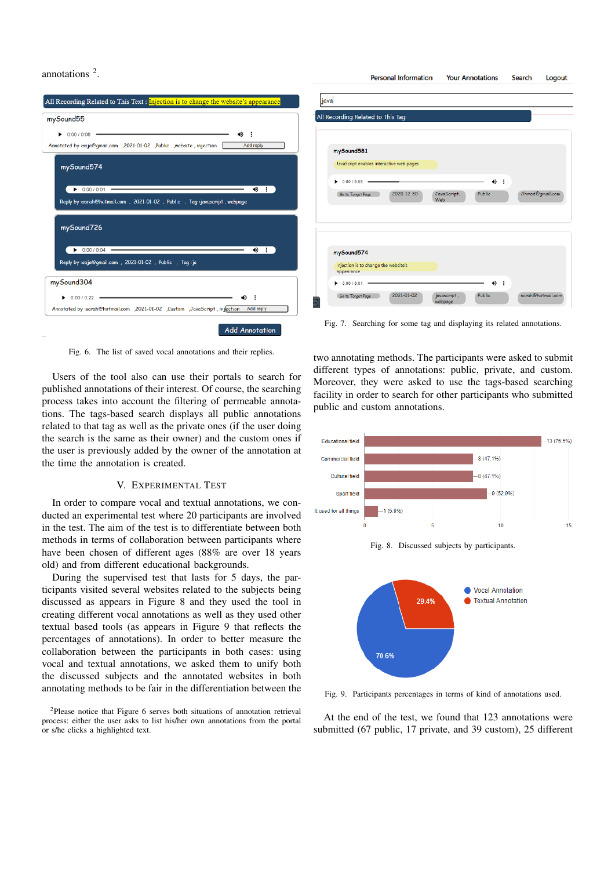



Fig. 6. The list of saved vocal annotations and their replies.

Users of the tool also can use their portals to search for published annotations of their interest. Of course, the searching process takes into account the filtering of permeable annotations. The tags-based search displays all public annotations related to that tag as well as the private ones (if the user doing the search is the same as their owner) and the custom ones if the user is previously added by the owner of the annotation at the time the annotation is created.

# V. EXPERIMENTAL TEST

In order to compare vocal and textual annotations, we conducted an experimental test where 20 participants are involved in the test. The aim of the test is to differentiate between both methods in terms of collaboration between participants where have been chosen of different ages (88% are over 18 years old) and from different educational backgrounds.

During the supervised test that lasts for 5 days, the participants visited several websites related to the subjects being discussed as appears in Figure 8 and they used the tool in creating different vocal annotations as well as they used other textual based tools (as appears in Figure 9 that reflects the percentages of annotations). In order to better measure the collaboration between the participants in both cases: using vocal and textual annotations, we asked them to unify both the discussed subjects and the annotated websites in both annotating methods to be fair in the differentiation between the two annotating methods. The participants were asked to submit different types of annotations: public, private, and custom. Moreover, they were asked to use the tags-based searching facility in order to search for other participants who submitted public and custom annotations.

**Personal Information** 

**Your Annotations** 

Search



Fig. 9. Participants percentages in terms of kind of annotations used.

At the end of the test, we found that 123 annotations were submitted (67 public, 17 private, and 39 custom), 25 different

<sup>2</sup>Please notice that Figure 6 serves both situations of annotation retrieval process: either the user asks to list his/her own annotations from the portal or s/he clicks a highlighted text.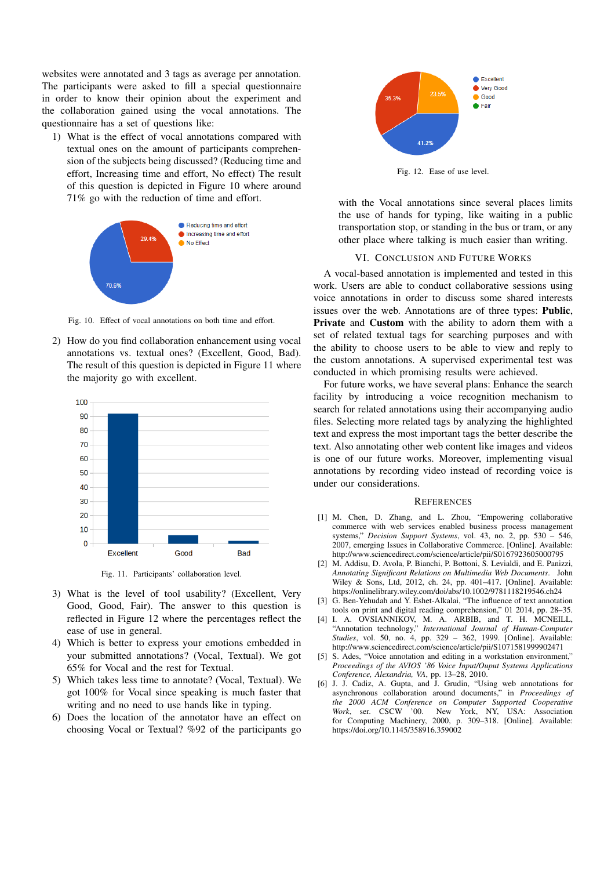websites were annotated and 3 tags as average per annotation. The participants were asked to fill a special questionnaire in order to know their opinion about the experiment and the collaboration gained using the vocal annotations. The questionnaire has a set of questions like:

1) What is the effect of vocal annotations compared with textual ones on the amount of participants comprehension of the subjects being discussed? (Reducing time and effort, Increasing time and effort, No effect) The result of this question is depicted in Figure 10 where around 71% go with the reduction of time and effort.



Fig. 10. Effect of vocal annotations on both time and effort.

2) How do you find collaboration enhancement using vocal annotations vs. textual ones? (Excellent, Good, Bad). The result of this question is depicted in Figure 11 where the majority go with excellent.



Fig. 11. Participants' collaboration level.

- 3) What is the level of tool usability? (Excellent, Very Good, Good, Fair). The answer to this question is reflected in Figure 12 where the percentages reflect the ease of use in general.
- 4) Which is better to express your emotions embedded in your submitted annotations? (Vocal, Textual). We got 65% for Vocal and the rest for Textual.
- 5) Which takes less time to annotate? (Vocal, Textual). We got 100% for Vocal since speaking is much faster that writing and no need to use hands like in typing.
- 6) Does the location of the annotator have an effect on choosing Vocal or Textual? %92 of the participants go



Fig. 12. Ease of use level.

with the Vocal annotations since several places limits the use of hands for typing, like waiting in a public transportation stop, or standing in the bus or tram, or any other place where talking is much easier than writing.

#### VI. CONCLUSION AND FUTURE WORKS

A vocal-based annotation is implemented and tested in this work. Users are able to conduct collaborative sessions using voice annotations in order to discuss some shared interests issues over the web. Annotations are of three types: Public, Private and Custom with the ability to adorn them with a set of related textual tags for searching purposes and with the ability to choose users to be able to view and reply to the custom annotations. A supervised experimental test was conducted in which promising results were achieved.

For future works, we have several plans: Enhance the search facility by introducing a voice recognition mechanism to search for related annotations using their accompanying audio files. Selecting more related tags by analyzing the highlighted text and express the most important tags the better describe the text. Also annotating other web content like images and videos is one of our future works. Moreover, implementing visual annotations by recording video instead of recording voice is under our considerations.

## **REFERENCES**

- [1] M. Chen, D. Zhang, and L. Zhou, "Empowering collaborative commerce with web services enabled business process management systems," *Decision Support Systems*, vol. 43, no. 2, pp. 530 – 546, 2007, emerging Issues in Collaborative Commerce. [Online]. Available: http://www.sciencedirect.com/science/article/pii/S0167923605000795
- [2] M. Addisu, D. Avola, P. Bianchi, P. Bottoni, S. Levialdi, and E. Panizzi, *Annotating Significant Relations on Multimedia Web Documents*. John Wiley & Sons, Ltd, 2012, ch. 24, pp. 401–417. [Online]. Available: https://onlinelibrary.wiley.com/doi/abs/10.1002/9781118219546.ch24
- [3] G. Ben-Yehudah and Y. Eshet-Alkalai, "The influence of text annotation tools on print and digital reading comprehension," 01 2014, pp. 28–35.
- [4] I. A. OVSIANNIKOV, M. A. ARBIB, and T. H. MCNEILL, "Annotation technology," *International Journal of Human-Computer Studies*, vol. 50, no. 4, pp. 329 – 362, 1999. [Online]. Available: http://www.sciencedirect.com/science/article/pii/S1071581999902471
- [5] S. Ades, "Voice annotation and editing in a workstation environment," *Proceedings of the AVIOS '86 Voice Input/Ouput Systems Applications Conference, Alexandria, VA*, pp. 13–28, 2010.
- [6] J. J. Cadiz, A. Gupta, and J. Grudin, "Using web annotations for asynchronous collaboration around documents," in *Proceedings of the 2000 ACM Conference on Computer Supported Cooperative Work*, ser. CSCW '00. New York, NY, USA: Association for Computing Machinery, 2000, p. 309–318. [Online]. Available: https://doi.org/10.1145/358916.359002